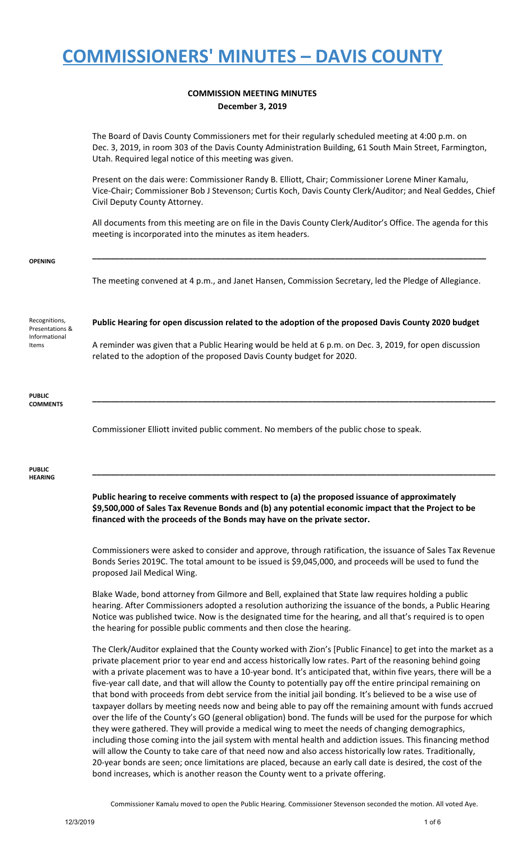#### **COMMISSION MEETING MINUTES December 3, 2019**

|                                  | The Board of Davis County Commissioners met for their regularly scheduled meeting at 4:00 p.m. on<br>Dec. 3, 2019, in room 303 of the Davis County Administration Building, 61 South Main Street, Farmington,<br>Utah. Required legal notice of this meeting was given. |
|----------------------------------|-------------------------------------------------------------------------------------------------------------------------------------------------------------------------------------------------------------------------------------------------------------------------|
|                                  | Present on the dais were: Commissioner Randy B. Elliott, Chair; Commissioner Lorene Miner Kamalu,<br>Vice-Chair; Commissioner Bob J Stevenson; Curtis Koch, Davis County Clerk/Auditor; and Neal Geddes, Chief<br>Civil Deputy County Attorney.                         |
|                                  | All documents from this meeting are on file in the Davis County Clerk/Auditor's Office. The agenda for this<br>meeting is incorporated into the minutes as item headers.                                                                                                |
| <b>OPENING</b>                   |                                                                                                                                                                                                                                                                         |
|                                  | The meeting convened at 4 p.m., and Janet Hansen, Commission Secretary, led the Pledge of Allegiance.                                                                                                                                                                   |
| Recognitions,<br>Presentations & | Public Hearing for open discussion related to the adoption of the proposed Davis County 2020 budget                                                                                                                                                                     |
| Informational<br>Items           | A reminder was given that a Public Hearing would be held at 6 p.m. on Dec. 3, 2019, for open discussion<br>related to the adoption of the proposed Davis County budget for 2020.                                                                                        |
| <b>PUBLIC</b><br><b>COMMENTS</b> |                                                                                                                                                                                                                                                                         |
|                                  | Commissioner Elliott invited public comment. No members of the public chose to speak.                                                                                                                                                                                   |
| <b>PUBLIC</b><br><b>HEARING</b>  |                                                                                                                                                                                                                                                                         |
|                                  | Public hearing to receive comments with respect to (a) the proposed issuance of approximately<br>\$9,500,000 of Sales Tax Revenue Bonds and (b) any potential economic impact that the Project to be                                                                    |

**financed with the proceeds of the Bonds may have on the private sector.**

Commissioners were asked to consider and approve, through ratification, the issuance of Sales Tax Revenue Bonds Series 2019C. The total amount to be issued is \$9,045,000, and proceeds will be used to fund the proposed Jail Medical Wing.

Blake Wade, bond attorney from Gilmore and Bell, explained that State law requires holding a public hearing. After Commissioners adopted a resolution authorizing the issuance of the bonds, a Public Hearing Notice was published twice. Now is the designated time for the hearing, and all that's required is to open the hearing for possible public comments and then close the hearing.

The Clerk/Auditor explained that the County worked with Zion's [Public Finance] to get into the market as a private placement prior to year end and access historically low rates. Part of the reasoning behind going with a private placement was to have a 10-year bond. It's anticipated that, within five years, there will be a five-year call date, and that will allow the County to potentially pay off the entire principal remaining on that bond with proceeds from debt service from the initial jail bonding. It's believed to be a wise use of taxpayer dollars by meeting needs now and being able to pay off the remaining amount with funds accrued over the life of the County's GO (general obligation) bond. The funds will be used for the purpose for which they were gathered. They will provide a medical wing to meet the needs of changing demographics, including those coming into the jail system with mental health and addiction issues. This financing method will allow the County to take care of that need now and also access historically low rates. Traditionally, 20-year bonds are seen; once limitations are placed, because an early call date is desired, the cost of the bond increases, which is another reason the County went to a private offering.

Commissioner Kamalu moved to open the Public Hearing. Commissioner Stevenson seconded the motion. All voted Aye.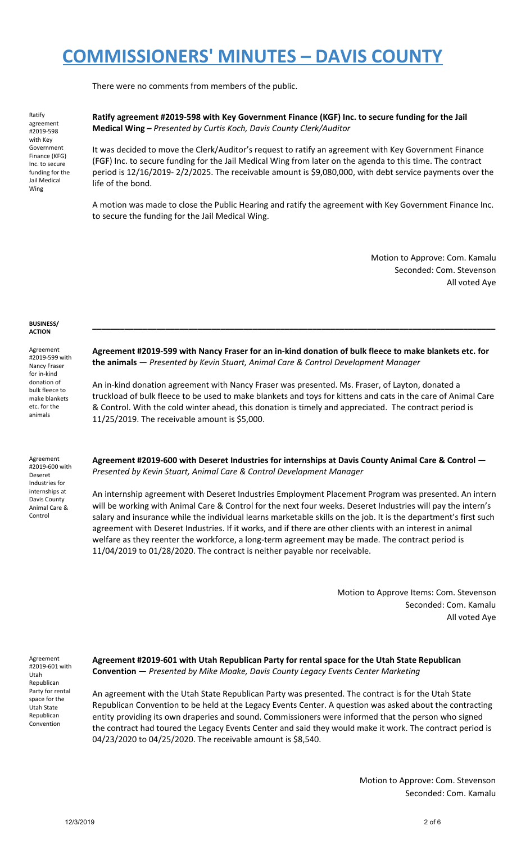There were no comments from members of the public.

Ratify agreement #2019-598 with Key Government Finance (KFG) Inc. to secure funding for the Jail Medical Wing

**Ratify agreement #2019-598 with Key Government Finance (KGF) Inc. to secure funding for the Jail Medical Wing –** *Presented by Curtis Koch, Davis County Clerk/Auditor*

It was decided to move the Clerk/Auditor's request to ratify an agreement with Key Government Finance (FGF) Inc. to secure funding for the Jail Medical Wing from later on the agenda to this time. The contract period is 12/16/2019- 2/2/2025. The receivable amount is \$9,080,000, with debt service payments over the life of the bond.

A motion was made to close the Public Hearing and ratify the agreement with Key Government Finance Inc. to secure the funding for the Jail Medical Wing.

> Motion to Approve: Com. Kamalu Seconded: Com. Stevenson All voted Aye

#### **BUSINESS/ ACTION**

Agreement #2019-599 with Nancy Fraser for in-kind donation of bulk fleece to make blankets etc. for the animals

Agreement #2019-600 with Deseret Industries for internships at Davis County Animal Care & Control

**Agreement #2019-599 with Nancy Fraser for an in-kind donation of bulk fleece to make blankets etc. for the animals** — *Presented by Kevin Stuart, Animal Care & Control Development Manager*

**\_\_\_\_\_\_\_\_\_\_\_\_\_\_\_\_\_\_\_\_\_\_\_\_\_\_\_\_\_\_\_\_\_\_\_\_\_\_\_\_\_\_\_\_\_\_\_\_\_\_\_\_\_\_\_\_\_\_\_\_\_\_\_\_\_\_\_\_\_\_\_\_\_\_\_\_\_\_\_\_\_\_\_\_\_\_\_\_**

An in-kind donation agreement with Nancy Fraser was presented. Ms. Fraser, of Layton, donated a truckload of bulk fleece to be used to make blankets and toys for kittens and cats in the care of Animal Care & Control. With the cold winter ahead, this donation is timely and appreciated. The contract period is 11/25/2019. The receivable amount is \$5,000.

**Agreement #2019-600 with Deseret Industries for internships at Davis County Animal Care & Control** — *Presented by Kevin Stuart, Animal Care & Control Development Manager*

An internship agreement with Deseret Industries Employment Placement Program was presented. An intern will be working with Animal Care & Control for the next four weeks. Deseret Industries will pay the intern's salary and insurance while the individual learns marketable skills on the job. It is the department's first such agreement with Deseret Industries. If it works, and if there are other clients with an interest in animal welfare as they reenter the workforce, a long-term agreement may be made. The contract period is 11/04/2019 to 01/28/2020. The contract is neither payable nor receivable.

> Motion to Approve Items: Com. Stevenson Seconded: Com. Kamalu All voted Aye

Agreement #2019-601 with Utah Republican Party for rental space for the Utah State Republican Convention

**Agreement #2019-601 with Utah Republican Party for rental space for the Utah State Republican Convention** — *Presented by Mike Moake, Davis County Legacy Events Center Marketing*

An agreement with the Utah State Republican Party was presented. The contract is for the Utah State Republican Convention to be held at the Legacy Events Center. A question was asked about the contracting entity providing its own draperies and sound. Commissioners were informed that the person who signed the contract had toured the Legacy Events Center and said they would make it work. The contract period is 04/23/2020 to 04/25/2020. The receivable amount is \$8,540.

> Motion to Approve: Com. Stevenson Seconded: Com. Kamalu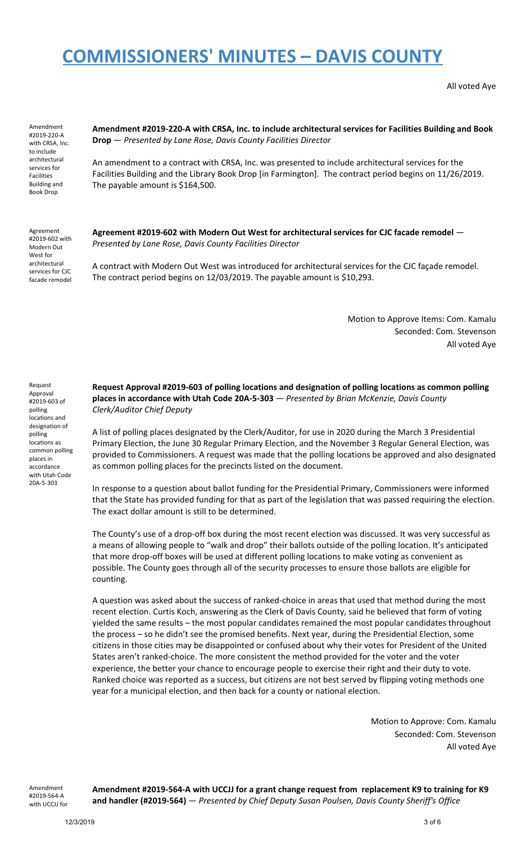All voted Aye

Amendment #2019-220-A with CRSA, Inc. to include architectural services for Facilities Building and Book Drop

**Amendment #2019-220-A with CRSA, Inc. to include architectural services for Facilities Building and Book Drop** — *Presented by Lane Rose, Davis County Facilities Director*

An amendment to a contract with CRSA, Inc. was presented to include architectural services for the Facilities Building and the Library Book Drop [in Farmington]. The contract period begins on 11/26/2019. The payable amount is \$164,500.

Agreement #2019-602 with Modern Out West for architectural services for CJC facade remodel **Agreement #2019-602 with Modern Out West for architectural services for CJC facade remodel** — *Presented by Lane Rose, Davis County Facilities Director*

A contract with Modern Out West was introduced for architectural services for the CJC façade remodel. The contract period begins on 12/03/2019. The payable amount is \$10,293.

> Motion to Approve Items: Com. Kamalu Seconded: Com. Stevenson All voted Aye

Request Approval #2019-603 of polling locations and designation of polling locations as common polling places in accordance with Utah Code 20A-5-303

**Request Approval #2019-603 of polling locations and designation of polling locations as common polling places in accordance with Utah Code 20A-5-303** — *Presented by Brian McKenzie, Davis County Clerk/Auditor Chief Deputy*

A list of polling places designated by the Clerk/Auditor, for use in 2020 during the March 3 Presidential Primary Election, the June 30 Regular Primary Election, and the November 3 Regular General Election, was provided to Commissioners. A request was made that the polling locations be approved and also designated as common polling places for the precincts listed on the document.

In response to a question about ballot funding for the Presidential Primary, Commissioners were informed that the State has provided funding for that as part of the legislation that was passed requiring the election. The exact dollar amount is still to be determined.

The County's use of a drop-off box during the most recent election was discussed. It was very successful as a means of allowing people to "walk and drop" their ballots outside of the polling location. It's anticipated that more drop-off boxes will be used at different polling locations to make voting as convenient as possible. The County goes through all of the security processes to ensure those ballots are eligible for counting.

A question was asked about the success of ranked-choice in areas that used that method during the most recent election. Curtis Koch, answering as the Clerk of Davis County, said he believed that form of voting yielded the same results – the most popular candidates remained the most popular candidates throughout the process – so he didn't see the promised benefits. Next year, during the Presidential Election, some citizens in those cities may be disappointed or confused about why their votes for President of the United States aren't ranked-choice. The more consistent the method provided for the voter and the voter experience, the better your chance to encourage people to exercise their right and their duty to vote. Ranked choice was reported as a success, but citizens are not best served by flipping voting methods one year for a municipal election, and then back for a county or national election.

> Motion to Approve: Com. Kamalu Seconded: Com. Stevenson All voted Aye

Amendment #2019-564-A with UCCJJ for

**Amendment #2019-564-A with UCCJJ for a grant change request from replacement K9 to training for K9 and handler (#2019-564)** — *Presented by Chief Deputy Susan Poulsen, Davis County Sheriff's Office*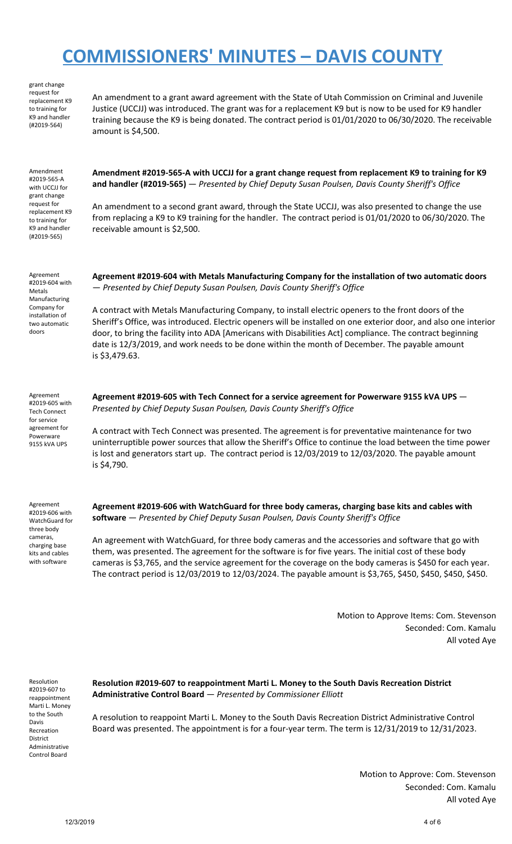replacement K9 to training for K9 and handler (#2019-564) An amendment to a grant award agreement with the State of Utah Commission on Criminal and Juvenile Justice (UCCJJ) was introduced. The grant was for a replacement K9 but is now to be used for K9 handler training because the K9 is being donated. The contract period is 01/01/2020 to 06/30/2020. The receivable amount is \$4,500. Amendment #2019-565-A with UCCJJ for grant change request for replacement K9 to training for K9 and handler (#2019-565) **Amendment #2019-565-A with UCCJJ for a grant change request from replacement K9 to training for K9 and handler (#2019-565)** — *Presented by Chief Deputy Susan Poulsen, Davis County Sheriff's Office* An amendment to a second grant award, through the State UCCJJ, was also presented to change the use from replacing a K9 to K9 training for the handler. The contract period is 01/01/2020 to 06/30/2020. The receivable amount is \$2,500. Agreement #2019-604 with Metals Manufacturing Company for installation of two automatic doors **Agreement #2019-604 with Metals Manufacturing Company for the installation of two automatic doors** — *Presented by Chief Deputy Susan Poulsen, Davis County Sheriff's Office* A contract with Metals Manufacturing Company, to install electric openers to the front doors of the Sheriff's Office, was introduced. Electric openers will be installed on one exterior door, and also one interior door, to bring the facility into ADA [Americans with Disabilities Act] compliance. The contract beginning date is 12/3/2019, and work needs to be done within the month of December. The payable amount is \$3,479.63. Agreement #2019-605 with Tech Connect for service agreement for Powerware 9155 kVA UPS **Agreement #2019-605 with Tech Connect for a service agreement for Powerware 9155 kVA UPS** — *Presented by Chief Deputy Susan Poulsen, Davis County Sheriff's Office* A contract with Tech Connect was presented. The agreement is for preventative maintenance for two uninterruptible power sources that allow the Sheriff's Office to continue the load between the time power is lost and generators start up. The contract period is 12/03/2019 to 12/03/2020. The payable amount is \$4,790.

Agreement #2019-606 with WatchGuard for three body cameras, charging base kits and cables with software

grant change request for

> **Agreement #2019-606 with WatchGuard for three body cameras, charging base kits and cables with software** — *Presented by Chief Deputy Susan Poulsen, Davis County Sheriff's Office*

An agreement with WatchGuard, for three body cameras and the accessories and software that go with them, was presented. The agreement for the software is for five years. The initial cost of these body cameras is \$3,765, and the service agreement for the coverage on the body cameras is \$450 for each year. The contract period is 12/03/2019 to 12/03/2024. The payable amount is \$3,765, \$450, \$450, \$450, \$450.

> Motion to Approve Items: Com. Stevenson Seconded: Com. Kamalu All voted Aye

Resolution #2019-607 to reappointment Marti L. Money to the South Davis Recreation District Administrative Control Board

**Resolution #2019-607 to reappointment Marti L. Money to the South Davis Recreation District Administrative Control Board** — *Presented by Commissioner Elliott*

A resolution to reappoint Marti L. Money to the South Davis Recreation District Administrative Control Board was presented. The appointment is for a four-year term. The term is 12/31/2019 to 12/31/2023.

> Motion to Approve: Com. Stevenson Seconded: Com. Kamalu All voted Aye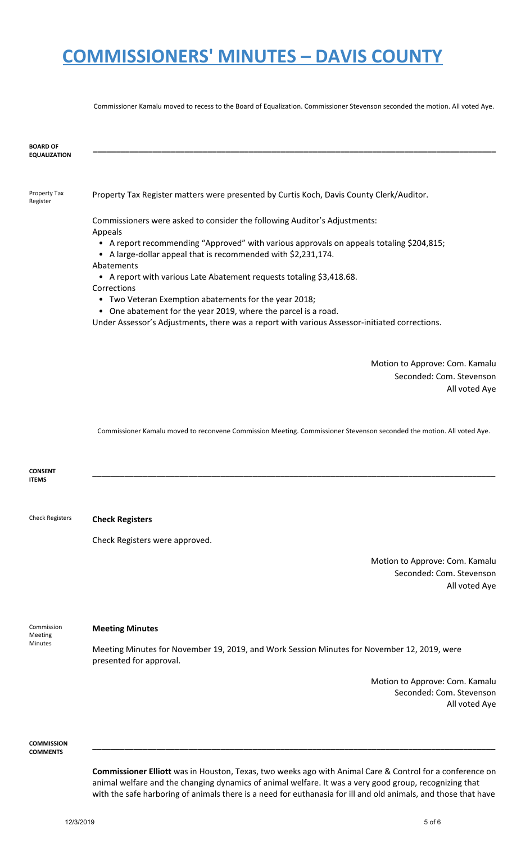Commissioner Kamalu moved to recess to the Board of Equalization. Commissioner Stevenson seconded the motion. All voted Aye.

| <b>BOARD OF</b><br><b>EQUALIZATION</b> |                                                                                                                                                                                                                          |
|----------------------------------------|--------------------------------------------------------------------------------------------------------------------------------------------------------------------------------------------------------------------------|
| Property Tax<br>Register               | Property Tax Register matters were presented by Curtis Koch, Davis County Clerk/Auditor.                                                                                                                                 |
|                                        | Commissioners were asked to consider the following Auditor's Adjustments:<br>Appeals                                                                                                                                     |
|                                        | • A report recommending "Approved" with various approvals on appeals totaling \$204,815;<br>• A large-dollar appeal that is recommended with \$2,231,174.                                                                |
|                                        | Abatements<br>• A report with various Late Abatement requests totaling \$3,418.68.<br>Corrections                                                                                                                        |
|                                        | • Two Veteran Exemption abatements for the year 2018;<br>• One abatement for the year 2019, where the parcel is a road.<br>Under Assessor's Adjustments, there was a report with various Assessor-initiated corrections. |
|                                        |                                                                                                                                                                                                                          |
|                                        | Motion to Approve: Com. Kamalu<br>Seconded: Com. Stevenson<br>All voted Aye                                                                                                                                              |
|                                        | Commissioner Kamalu moved to reconvene Commission Meeting. Commissioner Stevenson seconded the motion. All voted Aye.                                                                                                    |
| <b>CONSENT</b><br><b>ITEMS</b>         |                                                                                                                                                                                                                          |
| <b>Check Registers</b>                 | <b>Check Registers</b>                                                                                                                                                                                                   |
|                                        | Check Registers were approved.                                                                                                                                                                                           |
|                                        | Motion to Approve: Com. Kamalu<br>Seconded: Com. Stevenson<br>All voted Aye                                                                                                                                              |
| Commission                             | <b>Meeting Minutes</b>                                                                                                                                                                                                   |
| Meeting<br><b>Minutes</b>              | Meeting Minutes for November 19, 2019, and Work Session Minutes for November 12, 2019, were<br>presented for approval.                                                                                                   |
|                                        | Motion to Approve: Com. Kamalu<br>Seconded: Com. Stevenson<br>All voted Aye                                                                                                                                              |
| <b>COMMISSION</b><br><b>COMMENTS</b>   |                                                                                                                                                                                                                          |

**Commissioner Elliott** was in Houston, Texas, two weeks ago with Animal Care & Control for a conference on animal welfare and the changing dynamics of animal welfare. It was a very good group, recognizing that with the safe harboring of animals there is a need for euthanasia for ill and old animals, and those that have